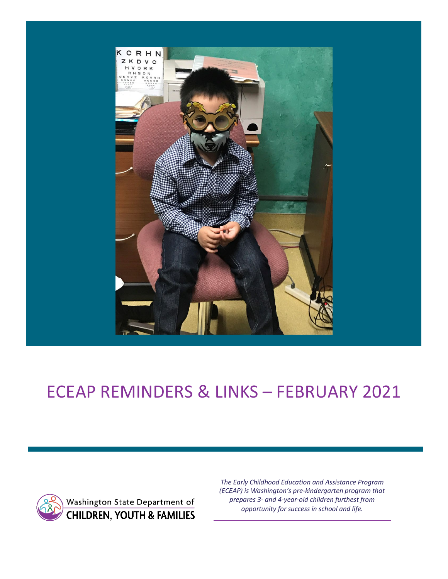

# ECEAP REMINDERS & LINKS – FEBRUARY 2021



*The Early Childhood Education and Assistance Program (ECEAP) is Washington's pre-kindergarten program that prepares 3- and 4-year-old children furthest from opportunity for success in school and life.*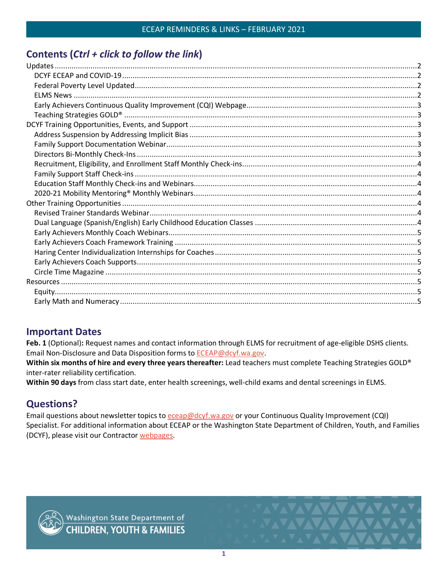# **Contents (***Ctrl + click to follow the link***)**

## **Important Dates**

**Feb. 1** (Optional)**:** Request names and contact information through ELMS for recruitment of age-eligible DSHS clients. Email Non-Disclosure and Data Disposition forms to [ECEAP@dcyf.wa.gov.](mailto:ECEAP@dcyf.wa.gov)

**Within six months of hire and every three years thereafter:** Lead teachers must complete Teaching Strategies GOLD® inter-rater reliability certification.

**Within 90 days** from class start date, enter health screenings, well-child exams and dental screenings in ELMS.

# **Questions?**

Email questions about newsletter topics to [eceap@dcyf.wa.gov](mailto:eceap@dcyf.wa.gov) or your Continuous Quality Improvement (CQI) Specialist. For additional information about ECEAP or the Washington State Department of Children, Youth, and Families (DCYF), please visit our Contractor [webpages.](https://www.dcyf.wa.gov/services/early-learning-providers/eceap/contractors)



VAVAVAVAVAVAV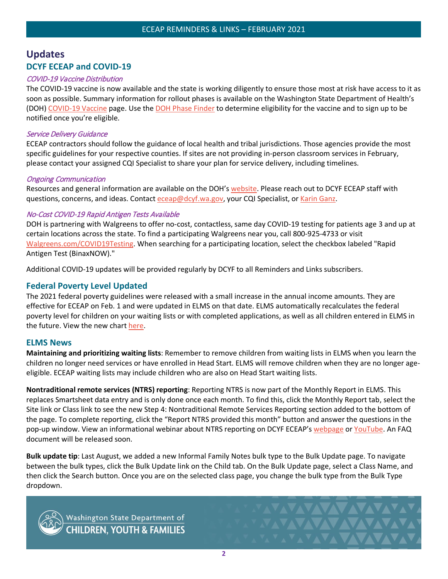## <span id="page-2-1"></span><span id="page-2-0"></span>**Updates DCYF ECEAP and COVID-19**

#### COVID-19 Vaccine Distribution

The COVID-19 vaccine is now available and the state is working diligently to ensure those most at risk have access to it as soon as possible. Summary information for rollout phases is available on the Washington State Department of Health's (DOH) [COVID-19 Vaccine](https://www.doh.wa.gov/Emergencies/COVID19/Vaccine) page. Use the [DOH Phase Finder](https://form.findyourphasewa.org/210118771253954) to determine eligibility for the vaccine and to sign up to be notified once you're eligible.

#### Service Delivery Guidance

ECEAP contractors should follow the guidance of local health and tribal jurisdictions. Those agencies provide the most specific guidelines for your respective counties. If sites are not providing in-person classroom services in February, please contact your assigned CQI Specialist to share your plan for service delivery, including timelines.

#### Ongoing Communication

Resources and general information are available on the DOH's [website.](https://www.doh.wa.gov/Emergencies/COVID19) Please reach out to DCYF ECEAP staff with questions, concerns, and ideas. Contact [eceap@dcyf.wa.gov,](mailto:eceap@dcyf.wa.gov) your CQI Specialist, or [Karin Ganz.](mailto:karin.ganz@dcyf.wa.gov)

#### No-Cost COVID-19 Rapid Antigen Tests Available

DOH is partnering with Walgreens to offer no-cost, contactless, same day COVID-19 testing for patients age 3 and up at certain locations across the state. To find a participating Walgreens near you, call 800-925-4733 or visit [Walgreens.com/COVID19Testing.](https://gcc02.safelinks.protection.outlook.com/?url=https%3A%2F%2Flnks.gd%2Fl%2FeyJhbGciOiJIUzI1NiJ9.eyJidWxsZXRpbl9saW5rX2lkIjoxMDEsInVyaSI6ImJwMjpjbGljayIsImJ1bGxldGluX2lkIjoiMjAyMTAxMjUuMzM5NDExOTEiLCJ1cmwiOiJodHRwczovL3d3dy53YWxncmVlbnMuY29tL2ZpbmRjYXJlL2NvdmlkMTkvdGVzdGluZz9iYW49Y292aWRfdmFuaXR5X3Rlc3RpbmcifQ.096COzIT5kFcBJ3gdVFkBLTZiXp-T202qkX0QkAEwqc%2Fs%2F924553572%2Fbr%2F93590204435-l&data=04%7C01%7Ccarolyn.house-higgins%40dcyf.wa.gov%7C26afbe0dc2f24dbc1e9808d8c1894eb1%7C11d0e217264e400a8ba057dcc127d72d%7C0%7C0%7C637472143519022181%7CUnknown%7CTWFpbGZsb3d8eyJWIjoiMC4wLjAwMDAiLCJQIjoiV2luMzIiLCJBTiI6Ik1haWwiLCJXVCI6Mn0%3D%7C1000&sdata=7vvoxOUyxx%2FWqG1xSquS2%2BB5KmKBMDE5vde9T6tyD8k%3D&reserved=0) When searching for a participating location, select the checkbox labeled "Rapid Antigen Test (BinaxNOW)."

Additional COVID-19 updates will be provided regularly by DCYF to all Reminders and Links subscribers.

#### <span id="page-2-2"></span>**Federal Poverty Level Updated**

The 2021 federal poverty guidelines were released with a small increase in the annual income amounts. They are effective for ECEAP on Feb. 1 and were updated in ELMS on that date. ELMS automatically recalculates the federal poverty level for children on your waiting lists or with completed applications, as well as all children entered in ELMS in the future. View the new chart [here.](https://dcyf.wa.gov/sites/default/files/pdf/eceap/ECEAPFederalPovertyLevel2021.pdf)

#### <span id="page-2-3"></span>**ELMS News**

**Maintaining and prioritizing waiting lists**: Remember to remove children from waiting lists in ELMS when you learn the children no longer need services or have enrolled in Head Start. ELMS will remove children when they are no longer ageeligible. ECEAP waiting lists may include children who are also on Head Start waiting lists.

**Nontraditional remote services (NTRS) reporting**: Reporting NTRS is now part of the Monthly Report in ELMS. This replaces Smartsheet data entry and is only done once each month. To find this, click the Monthly Report tab, select the Site link or Class link to see the new Step 4: Nontraditional Remote Services Reporting section added to the bottom of the page. To complete reporting, click the "Report NTRS provided this month" button and answer the questions in the pop-up window. View an informational webinar about NTRS reporting on DCYF ECEAP's [webpage](https://www.dcyf.wa.gov/services/early-learning-providers/eceap/elms) or [YouTube.](https://www.youtube.com/watch?v=o1RDiGekq1g&feature=youtu.be) An FAQ document will be released soon.

**Bulk update tip**: Last August, we added a new Informal Family Notes bulk type to the Bulk Update page. To navigate between the bulk types, click the Bulk Update link on the Child tab. On the Bulk Update page, select a Class Name, and then click the Search button. Once you are on the selected class page, you change the bulk type from the Bulk Type dropdown.



Washington State Department of<br>CHILDREN, YOUTH & FAMILIES

**MAXAMATAN** 

*FAVAVAVAVAVAVA*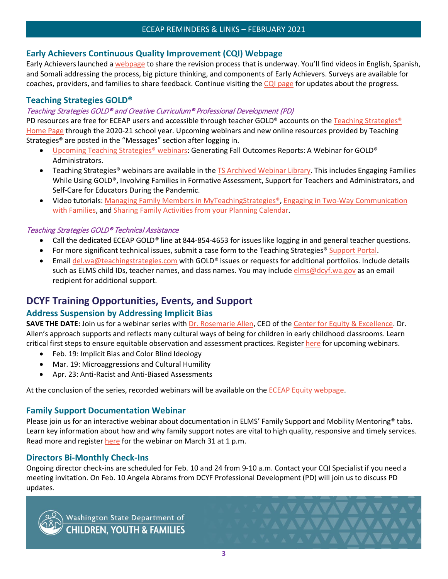## <span id="page-3-0"></span>**Early Achievers Continuous Quality Improvement (CQI) Webpage**

Early Achievers launched [a webpage](https://www.dcyf.wa.gov/services/early-learning-providers/early-achievers/cqi) to share the revision process that is underway. You'll find videos in English, Spanish, and Somali addressing the process, big picture thinking, and components of Early Achievers. Surveys are available for coaches, providers, and families to share feedback. Continue visiting the [CQI page](https://www.dcyf.wa.gov/services/early-learning-providers/early-achievers/cqi) for updates about the progress.

## <span id="page-3-1"></span>**Teaching Strategies GOLD®**

#### Teaching Strategies GOLD® and Creative Curriculum® Professional Development (PD)

PD resources are free for ECEAP users and accessible through teacher GOLD® accounts on the [Teaching Strategies®](https://teachingstrategies.com/) [Home Page](https://teachingstrategies.com/) through the 2020-21 school year. Upcoming webinars and new online resources provided by Teaching Strategies® are posted in the "Messages" section after logging in.

- [Upcoming Teaching Strategies®](https://teachingstrategies.force.com/portal/s/webinars) webinars: Generating Fall Outcomes Reports: A Webinar for GOLD® Administrators.
- Teaching Strategies® webinars are available in the **TS Archived Webinar Library**. This includes Engaging Families While Using GOLD®, Involving Families in Formative Assessment, Support for Teachers and Administrators, and Self-Care for Educators During the Pandemic.
- Video tutorials: [Managing Family Members in MyTeachingStrategies®,](https://teachingstrategies.force.com/portal/s/article/Video-Managing-Family-Members-in-MyTeachingStrategies?mkt_tok=eyJpIjoiT0dRNU5EWmxNVE5pTUdZNCIsInQiOiI0MDBFc2paY1NEclJsOFBNS3FpODFvWVcyakRLMVd1UTV1QXlKdFZwMHBENk1ERUlpVGFxSk9UWHJNMnArT1JJSE4xejBtZ3R4Mzd6R0d4YWFjazJ2bkRFc1dRTGJaaTJJaWNIaW9KOGhIcjdmQStHekFNWWRkQUZINlhpZkJaNSJ9) [Engaging in Two-Way Communication](https://teachingstrategies.force.com/portal/s/article/Video-Engaging-in-Two-Way-Communication-with-Families?mkt_tok=eyJpIjoiT0dRNU5EWmxNVE5pTUdZNCIsInQiOiI0MDBFc2paY1NEclJsOFBNS3FpODFvWVcyakRLMVd1UTV1QXlKdFZwMHBENk1ERUlpVGFxSk9UWHJNMnArT1JJSE4xejBtZ3R4Mzd6R0d4YWFjazJ2bkRFc1dRTGJaaTJJaWNIaW9KOGhIcjdmQStHekFNWWRkQUZINlhpZkJaNSJ9)  [with Families,](https://teachingstrategies.force.com/portal/s/article/Video-Engaging-in-Two-Way-Communication-with-Families?mkt_tok=eyJpIjoiT0dRNU5EWmxNVE5pTUdZNCIsInQiOiI0MDBFc2paY1NEclJsOFBNS3FpODFvWVcyakRLMVd1UTV1QXlKdFZwMHBENk1ERUlpVGFxSk9UWHJNMnArT1JJSE4xejBtZ3R4Mzd6R0d4YWFjazJ2bkRFc1dRTGJaaTJJaWNIaW9KOGhIcjdmQStHekFNWWRkQUZINlhpZkJaNSJ9) and [Sharing Family Activities from your Planning Calendar.](https://teachingstrategies.force.com/portal/s/article/Video-Sharing-Family-Activities-from-Your-Planning-Calendar?mkt_tok=eyJpIjoiT0dRNU5EWmxNVE5pTUdZNCIsInQiOiI0MDBFc2paY1NEclJsOFBNS3FpODFvWVcyakRLMVd1UTV1QXlKdFZwMHBENk1ERUlpVGFxSk9UWHJNMnArT1JJSE4xejBtZ3R4Mzd6R0d4YWFjazJ2bkRFc1dRTGJaaTJJaWNIaW9KOGhIcjdmQStHekFNWWRkQUZINlhpZkJaNSJ9)

#### Teaching Strategies GOLD® Technical Assistance

- Call the dedicated ECEAP GOLD*®* line at 844-854-4653 for issues like logging in and general teacher questions.
- For more significant technical issues, submit a case form to the Teaching Strategies<sup>®</sup> [Support Portal.](https://teachingstrategies.force.com/portal/s/submit-a-case)
- Email [del.wa@teachingstrategies.com](mailto:del.wa@teachingstrategies.com) with GOLD*®* issues or requests for additional portfolios. Include details such as ELMS child IDs, teacher names, and class names. You may include [elms@dcyf.wa.gov](mailto:elms@dcyf.wa.gov) as an email recipient for additional support.

## <span id="page-3-2"></span>**DCYF Training Opportunities, Events, and Support**

## <span id="page-3-3"></span>**Address Suspension by Addressing Implicit Bias**

**SAVE THE DATE:** Join us for a webinar series with [Dr. Rosemarie Allen,](https://www.rosemarieallen.com/biography--dr.-rosemarie-allen.html) CEO of the [Center for Equity & Excellence.](https://www.rosemarieallen.com/home.html) Dr. Allen's approach supports and reflects many cultural ways of being for children in early childhood classrooms. Learn critical first steps to ensure equitable observation and assessment practices. Register [here](https://www.surveymonkey.com/r/VDP5RSL) for upcoming webinars.

- Feb. 19: Implicit Bias and Color Blind Ideology
- Mar. 19: Microaggressions and Cultural Humility
- Apr. 23: Anti-Racist and Anti-Biased Assessments

At the conclusion of the series, recorded webinars will be available on the [ECEAP Equity webpage.](https://www.dcyf.wa.gov/services/early-learning-providers/eceap/equity)

#### <span id="page-3-4"></span>**Family Support Documentation Webinar**

Please join us for an interactive webinar about documentation in ELMS' Family Support and Mobility Mentoring<sup>®</sup> tabs. Learn key information about how and why family support notes are vital to high quality, responsive and timely services. Read more and registe[r here](https://attendee.gotowebinar.com/register/7151847462630619920) for the webinar on March 31 at 1 p.m.

## <span id="page-3-5"></span>**Directors Bi-Monthly Check-Ins**

Ongoing director check-ins are scheduled for Feb. 10 and 24 from 9-10 a.m. Contact your CQI Specialist if you need a meeting invitation. On Feb. 10 Angela Abrams from DCYF Professional Development (PD) will join us to discuss PD updates.



Washington State Department of<br>CHILDREN, YOUTH & FAMILIES

**VALAVAVAVAV** 

**XAVAVAVAVAV**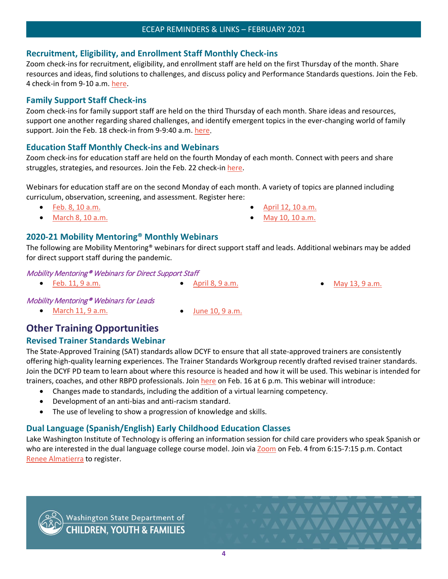## <span id="page-4-0"></span>**Recruitment, Eligibility, and Enrollment Staff Monthly Check-ins**

Zoom check-ins for recruitment, eligibility, and enrollment staff are held on the first Thursday of the month. Share resources and ideas, find solutions to challenges, and discuss policy and Performance Standards questions. Join the Feb. 4 check-in from 9-10 a.m. [here.](https://dcyf.zoom.us/j/82813244358?pwd=ZnFBMGh1UndkTnpYVmFiRjB3NktVZz09)

## <span id="page-4-1"></span>**Family Support Staff Check-ins**

Zoom check-ins for family support staff are held on the third Thursday of each month. Share ideas and resources, support one another regarding shared challenges, and identify emergent topics in the ever-changing world of family support. Join the Feb. 18 check-in from 9-9:40 a.m. [here.](https://dcyf.zoom.us/j/94143055059?pwd=enJXaC9zcTNFaytnS3h6dVVWeUEzQT09)

## <span id="page-4-2"></span>**Education Staff Monthly Check-ins and Webinars**

Zoom check-ins for education staff are held on the fourth Monday of each month. Connect with peers and share struggles, strategies, and resources. Join the Feb. 22 check-in [here.](https://dcyf.zoom.us/j/92705586444?pwd=STBSRGo0WnBsWC91ZmlMZC9kdzJGUT09)

Webinars for education staff are on the second Monday of each month. A variety of topics are planned including curriculum, observation, screening, and assessment. Register here:

- Feb. [8, 10 a.m.](https://attendee.gotowebinar.com/rt/2002087937421033229)
- March [8, 10 a.m.](https://attendee.gotowebinar.com/rt/2002087937421033229)
- [April 12, 10 a.m.](https://attendee.gotowebinar.com/rt/2002087937421033229) • [May 10, 10 a.m.](https://attendee.gotowebinar.com/rt/2002087937421033229)
- 

## <span id="page-4-3"></span>**2020-21 Mobility Mentoring® Monthly Webinars**

The following are Mobility Mentoring® webinars for direct support staff and leads. Additional webinars may be added for direct support staff during the pandemic.

## Mobility Mentoring® Webinars for Direct Support Staff

- Feb. [11, 9 a.m.](https://attendee.gotowebinar.com/register/5177982194130429455) April [8, 9 a.m.](https://attendee.gotowebinar.com/register/5702908836440098063) [May 13, 9 a.m.](https://attendee.gotowebinar.com/register/1407197171068013583)
	-

**NAVAVAVAVA** 

**JAVAVAVAVAVA** 

## Mobility Mentoring® Webinars for Leads

- March [11, 9 a.m.](https://attendee.gotowebinar.com/register/7752319346097447949) June [10, 9 a.m.](https://attendee.gotowebinar.com/register/8953468728929489677)
	-

# <span id="page-4-4"></span>**Other Training Opportunities**

## <span id="page-4-5"></span>**Revised Trainer Standards Webinar**

The State-Approved Training (SAT) standards allow DCYF to ensure that all state-approved trainers are consistently offering high-quality learning experiences. The Trainer Standards Workgroup recently drafted revised trainer standards. Join the DCYF PD team to learn about where this resource is headed and how it will be used. This webinar is intended for trainers, coaches, and other RBPD professionals. Join [here](https://gcc02.safelinks.protection.outlook.com/?url=https%3A%2F%2Flnks.gd%2Fl%2FeyJhbGciOiJIUzI1NiJ9.eyJidWxsZXRpbl9saW5rX2lkIjoxMDgsInVyaSI6ImJwMjpjbGljayIsImJ1bGxldGluX2lkIjoiMjAyMTAxMDUuMzI4MjY0NTEiLCJ1cmwiOiJodHRwczovL2RjeWYuem9vbS51cy9tZWV0aW5nL3JlZ2lzdGVyL3RaRXJjZXV2cGo0akd0VjhBN3JjX0paaWVfeFozUElETUtYbCJ9.k2bsXTM6tpa7nAHvKAS4kbvkPom1gI8Ld98CHG6SgxM%2Fs%2F948734119%2Fbr%2F92668279030-l&data=04%7C01%7Cmarkisha.lynch%40dcyf.wa.gov%7C11dfe7fb48f54809bd2608d8b19f2286%7C11d0e217264e400a8ba057dcc127d72d%7C0%7C0%7C637454645083668619%7CUnknown%7CTWFpbGZsb3d8eyJWIjoiMC4wLjAwMDAiLCJQIjoiV2luMzIiLCJBTiI6Ik1haWwiLCJXVCI6Mn0%3D%7C1000&sdata=W5qAgZyMcHkKbJf0QzWmHGAAMXnpxxpELAoe1czR2%2BA%3D&reserved=0) on Feb. 16 at 6 p.m. This webinar will introduce:

- Changes made to standards, including the addition of a virtual learning competency.
- Development of an anti-bias and anti-racism standard.
- The use of leveling to show a progression of knowledge and skills.

# <span id="page-4-6"></span>**Dual Language (Spanish/English) Early Childhood Education Classes**

Lake Washington Institute of Technology is offering an information session for child care providers who speak Spanish or who are interested in the dual language college course model. Join via [Zoom](https://lwtech.zoom.us/j/82831104463) on Feb. 4 from 6:15-7:15 p.m. Contact [Renee Almatierra](mailto:Renee.Almatierra@lwtech.edu) to register.